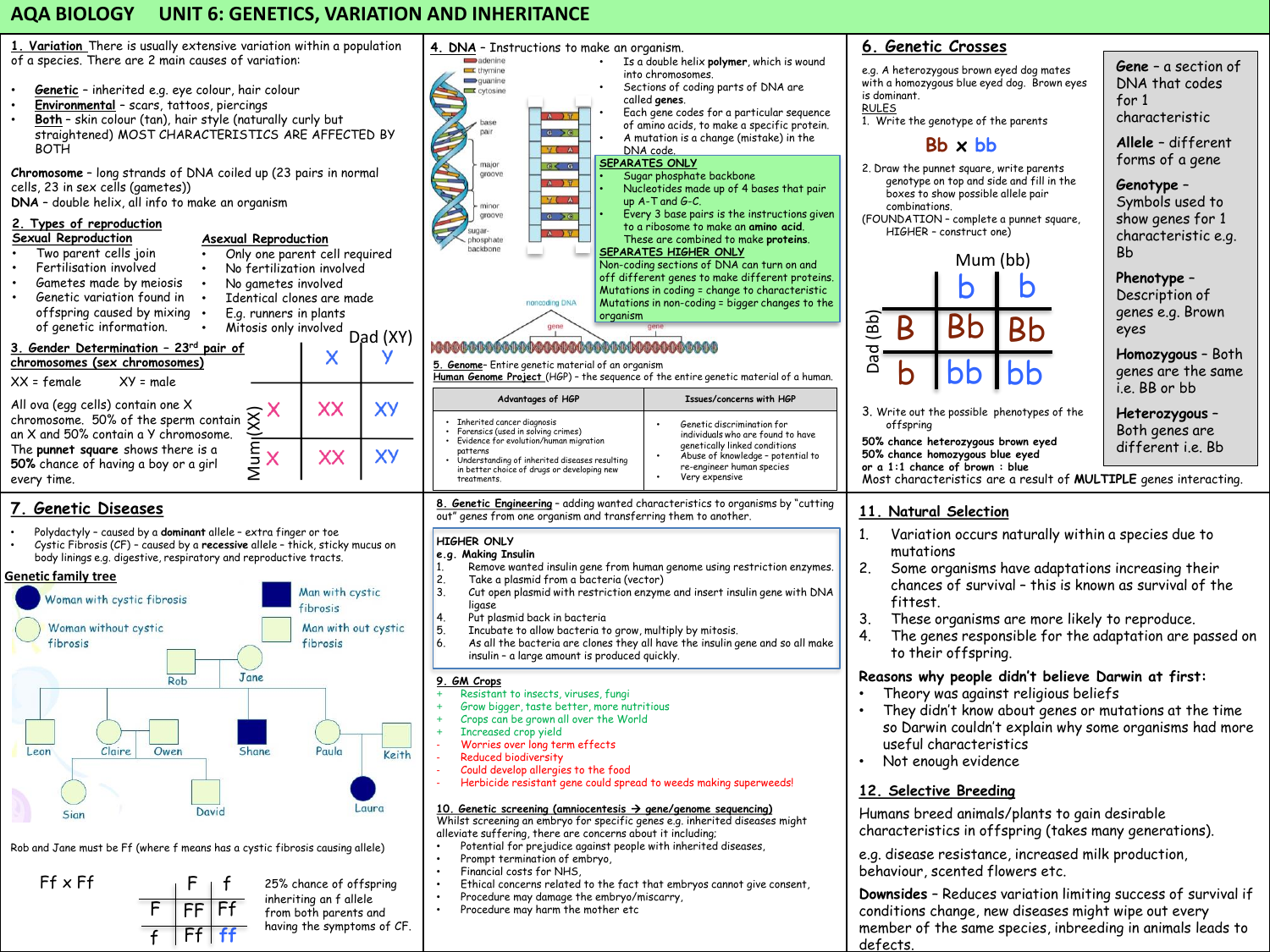# **AQA BIOLOGY UNIT 6: GENETICS, VARIATION AND INHERITANCE**



• Two parent cells join • Only one parent cell required • Fertilisation involved • No fertilization involved • Gametes made by meiosis • No gametes involved • Genetic variation found in Identical clones are made offspring caused by mixing . • E.g. runners in plants of genetic information. • Mitosis only involved Dad (XY) **3. Gender Determination – 23rd pair of**   $\boldsymbol{\mathsf{x}}$ **chromosomes (sex chromosomes)**  $XX = female$   $XY = male$ All ova (egg cells) contain one X XX **XY** 

chromosome. 50% of the sperm contain an X and 50% contain a Y chromosome. The **punnet square** shows there is a **50%** chance of having a boy or a girl every time.

# **7. Genetic Diseases**

• Polydactyly – caused by a **dominant** allele – extra finger or toe • Cystic Fibrosis (CF) – caused by a **recessive** allele – thick, sticky mucus on body linings e.g. digestive, respiratory and reproductive tracts.

 $\frac{m}{\sqrt{2}}$ 

**XY** 

XX

**Genetic family tree**



Rob and Jane must be Ff (where f means has a cystic fibrosis causing allele)





defects.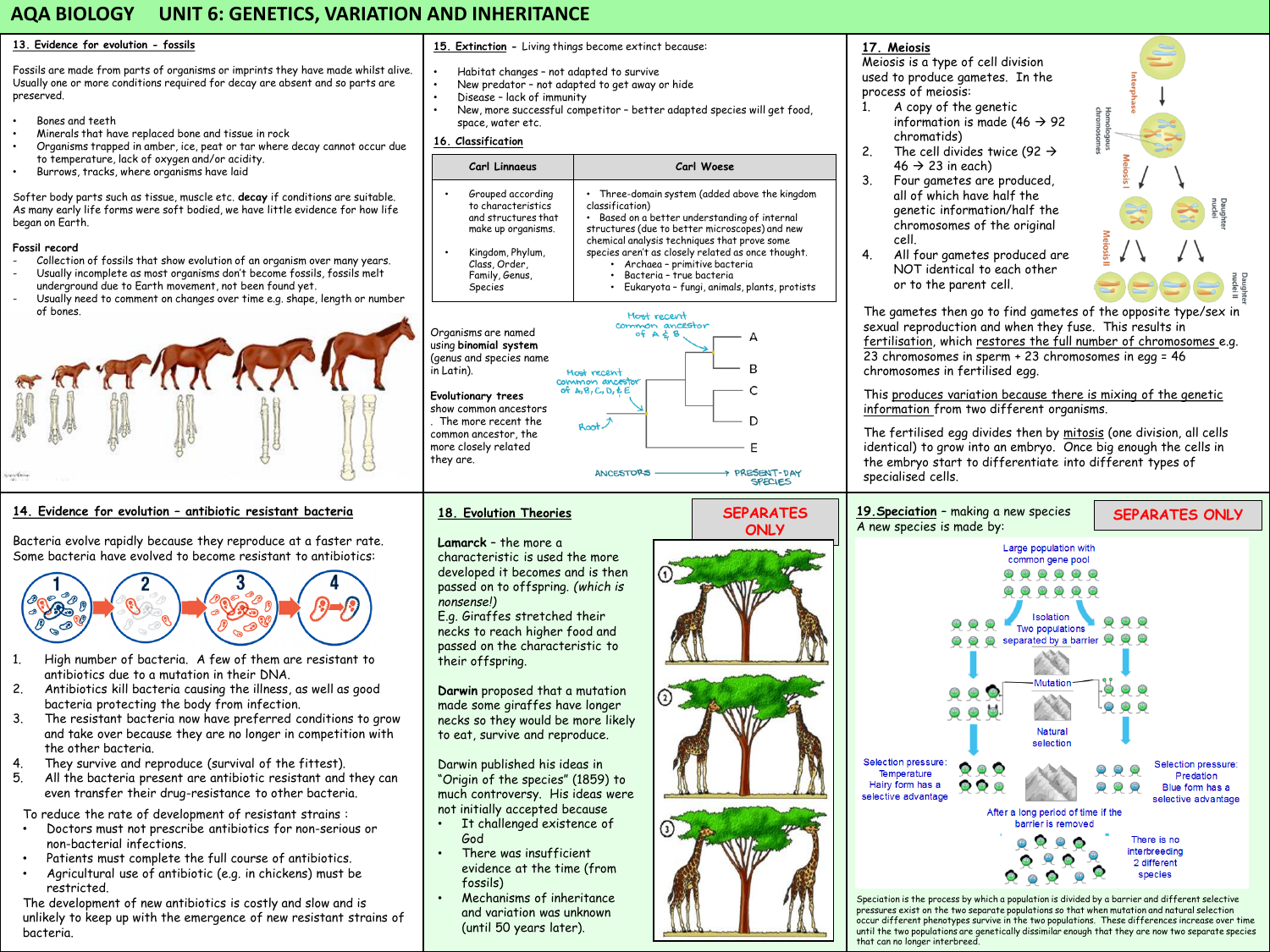# **AQA BIOLOGY UNIT 6: GENETICS, VARIATION AND INHERITANCE**

### **13. Evidence for evolution - fossils**

Fossils are made from parts of organisms or imprints they have made whilst alive. Usually one or more conditions required for decay are absent and so parts are preserved.

- Bones and teeth
- Minerals that have replaced bone and tissue in rock
- Organisms trapped in amber, ice, peat or tar where decay cannot occur due to temperature, lack of oxygen and/or acidity.
- Burrows, tracks, where organisms have laid

Softer body parts such as tissue, muscle etc. **decay** if conditions are suitable. As many early life forms were soft bodied, we have little evidence for how life began on Earth.

### **Fossil record**

- Collection of fossils that show evolution of an organism over many years. Usually incomplete as most organisms don't become fossils, fossils melt
- underground due to Earth movement, not been found yet.
- Usually need to comment on changes over time e.g. shape, length or number of bones.



## **14. Evidence for evolution – antibiotic resistant bacteria**

Bacteria evolve rapidly because they reproduce at a faster rate. Some bacteria have evolved to become resistant to antibiotics:



- 1. High number of bacteria. A few of them are resistant to antibiotics due to a mutation in their DNA.
- 2. Antibiotics kill bacteria causing the illness, as well as good bacteria protecting the body from infection.
- 3. The resistant bacteria now have preferred conditions to grow and take over because they are no longer in competition with the other bacteria.
- 4. They survive and reproduce (survival of the fittest).
- 5. All the bacteria present are antibiotic resistant and they can even transfer their drug-resistance to other bacteria.

To reduce the rate of development of resistant strains :

- Doctors must not prescribe antibiotics for non-serious or non-bacterial infections.
- Patients must complete the full course of antibiotics.
- Agricultural use of antibiotic (e.g. in chickens) must be restricted.

The development of new antibiotics is costly and slow and is unlikely to keep up with the emergence of new resistant strains of bacteria.

### **15. Extinction -** Living things become extinct because:

- Habitat changes not adapted to survive
- New predator not adapted to get away or hide
- Disease lack of immunity
- New, more successful competitor better adapted species will get food, space, water etc.

## **16. Classification**

| Carl Linnaeus                                                                                                                                                                                                 | Carl Woese                                                                                                                                                                                                                                                                                                                                                                           |
|---------------------------------------------------------------------------------------------------------------------------------------------------------------------------------------------------------------|--------------------------------------------------------------------------------------------------------------------------------------------------------------------------------------------------------------------------------------------------------------------------------------------------------------------------------------------------------------------------------------|
| Grouped according<br>to characteristics<br>and structures that<br>make up organisms.<br>Kingdom, Phylum,<br>Class, Order,<br>Family, Genus,<br><b>Species</b>                                                 | • Three-domain system (added above the kingdom<br>classification)<br>Based on a better understanding of internal<br>structures (due to better microscopes) and new<br>chemical analysis techniques that prove some<br>species aren't as closely related as once thought.<br>Archaea - primitive bacteria<br>Bacteria - true bacteria<br>Eukaryota - fungi, animals, plants, protists |
| Organisms are named<br>using binomial system<br>(genus and species name<br>in Latin).<br>Evolutionary trees<br>show common ancestors<br>. The more recent the<br>common ancestor, the<br>more closely related | Most recent<br>common ancestor<br>$\frac{1}{2}A$ 70<br>B<br>А<br>R<br>Most recent<br>common ancestor<br>of $A, B, C, D, E$ E<br>D<br>Root<br>F                                                                                                                                                                                                                                       |
| they are.                                                                                                                                                                                                     | <b>7 PRESENT-DAY</b><br><b>ANCESTORS</b>                                                                                                                                                                                                                                                                                                                                             |

**ONLY**

SPECIES

## **18. Evolution Theories**

### **Lamarck** – the more a

characteristic is used the more developed it becomes and is then passed on to offspring. *(which is nonsense!)*

E.g. Giraffes stretched their necks to reach higher food and passed on the characteristic to their offspring.

**Darwin** proposed that a mutation made some giraffes have longer necks so they would be more likely to eat, survive and reproduce.

Darwin published his ideas in "Origin of the species" (1859) to much controversy. His ideas were not initially accepted because

- It challenged existence of God
- There was insufficient evidence at the time (from fossils)
- Mechanisms of inheritance and variation was unknown (until 50 years later).

## **17. Meiosis**

Meiosis is a type of cell division used to produce gametes. In the process of meiosis:

- 1. A copy of the genetic information is made (46  $\rightarrow$  92 chromatids)
- 2. The cell divides twice (92  $\rightarrow$  $46 \rightarrow 23$  in each)
- 3. Four gametes are produced, all of which have half the genetic information/half the chromosomes of the original cell.
- 4. All four gametes produced are NOT identical to each other or to the parent cell.

The gametes then go to find gametes of the opposite type/sex in sexual reproduction and when they fuse. This results in fertilisation, which restores the full number of chromosomes e.g. 23 chromosomes in sperm + 23 chromosomes in egg = 46 chromosomes in fertilised egg.

This produces variation because there is mixing of the genetic information from two different organisms.

The fertilised egg divides then by mitosis (one division, all cells identical) to grow into an embryo. Once big enough the cells in the embryo start to differentiate into different types of specialised cells.



Speciation is the process by which a population is divided by a barrier and different selective pressures exist on the two separate populations so that when mutation and natural selection occur different phenotypes survive in the two populations. These differences increase over time until the two populations are genetically dissimilar enough that they are now two separate species that can no longer interbreed.